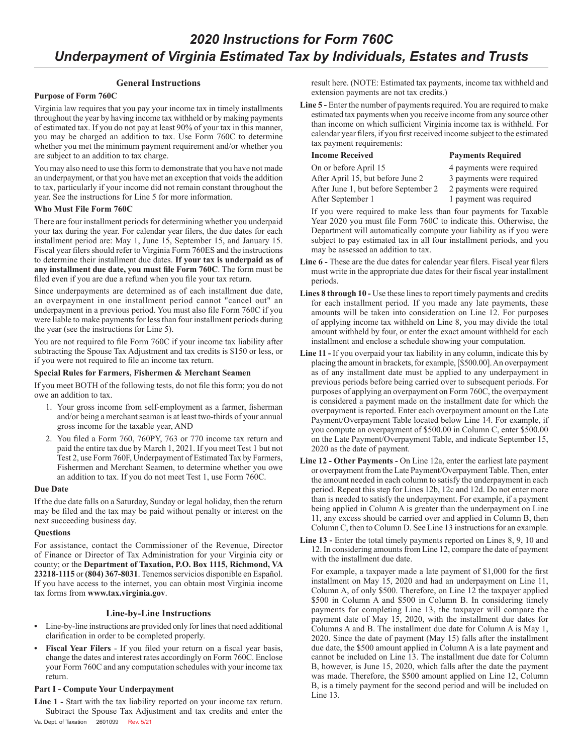# **General Instructions**

## **Purpose of Form 760C**

Virginia law requires that you pay your income tax in timely installments throughout the year by having income tax withheld or by making payments of estimated tax. If you do not pay at least 90% of your tax in this manner, you may be charged an addition to tax. Use Form 760C to determine whether you met the minimum payment requirement and/or whether you are subject to an addition to tax charge.

You may also need to use this form to demonstrate that you have not made an underpayment, or that you have met an exception that voids the addition to tax, particularly if your income did not remain constant throughout the year. See the instructions for Line 5 for more information.

## **Who Must File Form 760C**

There are four installment periods for determining whether you underpaid your tax during the year. For calendar year filers, the due dates for each installment period are: May 1, June 15, September 15, and January 15. Fiscal year filers should refer to Virginia Form 760ES and the instructions to determine their installment due dates. **If your tax is underpaid as of any installment due date, you must file Form 760C**. The form must be filed even if you are due a refund when you file your tax return.

Since underpayments are determined as of each installment due date, an overpayment in one installment period cannot "cancel out" an underpayment in a previous period. You must also file Form 760C if you were liable to make payments for less than four installment periods during the year (see the instructions for Line 5).

You are not required to file Form 760C if your income tax liability after subtracting the Spouse Tax Adjustment and tax credits is \$150 or less, or if you were not required to file an income tax return.

# **Special Rules for Farmers, Fishermen & Merchant Seamen**

If you meet BOTH of the following tests, do not file this form; you do not owe an addition to tax.

- 1. Your gross income from self-employment as a farmer, fisherman and/or being a merchant seaman is at least two-thirds of your annual gross income for the taxable year, AND
- 2. You filed a Form 760, 760PY, 763 or 770 income tax return and paid the entire tax due by March 1, 2021. If you meet Test 1 but not Test 2, use Form 760F, Underpayment of Estimated Tax by Farmers, Fishermen and Merchant Seamen, to determine whether you owe an addition to tax. If you do not meet Test 1, use Form 760C.

## **Due Date**

If the due date falls on a Saturday, Sunday or legal holiday, then the return may be filed and the tax may be paid without penalty or interest on the next succeeding business day.

## **Questions**

For assistance, contact the Commissioner of the Revenue, Director of Finance or Director of Tax Administration for your Virginia city or county; or the **Department of Taxation, P.O. Box 1115, Richmond, VA 23218‑1115** or **(804) 367-8031**. Tenemos servicios disponible en Español. If you have access to the internet, you can obtain most Virginia income tax forms from **www.tax.virginia.gov**.

## **Line-by-Line Instructions**

- **•** Line-by-line instructions are provided only for lines that need additional clarification in order to be completed properly.
- **• Fiscal Year Filers** If you filed your return on a fiscal year basis, change the dates and interest rates accordingly on Form 760C. Enclose your Form 760C and any computation schedules with your income tax return.

## **Part I - Compute Your Underpayment**

**Line 1 -** Start with the tax liability reported on your income tax return. Subtract the Spouse Tax Adjustment and tax credits and enter the Va. Dept. of Taxation 2601099 Rev. 5/21

result here. (NOTE: Estimated tax payments, income tax withheld and extension payments are not tax credits.)

**Line 5 -** Enter the number of payments required. You are required to make estimated tax payments when you receive income from any source other than income on which sufficient Virginia income tax is withheld. For calendar year filers, if you first received income subject to the estimated tax payment requirements:

# **Income Received Payments Required**

On or before April 15 4 payments were required After April 15, but before June 2 3 payments were required After June 1, but before September 2 2 payments were required After September 1 1 payment was required

- -

If you were required to make less than four payments for Taxable Year 2020 you must file Form 760C to indicate this. Otherwise, the Department will automatically compute your liability as if you were subject to pay estimated tax in all four installment periods, and you may be assessed an addition to tax.

- **Line 6 -** These are the due dates for calendar year filers. Fiscal year filers must write in the appropriate due dates for their fiscal year installment periods.
- **Lines 8 through 10 -** Use these lines to report timely payments and credits for each installment period. If you made any late payments, these amounts will be taken into consideration on Line 12. For purposes of applying income tax withheld on Line 8, you may divide the total amount withheld by four, or enter the exact amount withheld for each installment and enclose a schedule showing your computation.
- **Line 11 -** If you overpaid your tax liability in any column, indicate this by placing the amount in brackets, for example, [\$500.00]. An overpayment as of any installment date must be applied to any underpayment in previous periods before being carried over to subsequent periods. For purposes of applying an overpayment on Form 760C, the overpayment is considered a payment made on the installment date for which the overpayment is reported. Enter each overpayment amount on the Late Payment/Overpayment Table located below Line 14. For example, if you compute an overpayment of \$500.00 in Column C, enter \$500.00 on the Late Payment/Overpayment Table, and indicate September 15, 2020 as the date of payment.
- **Line 12 Other Payments -** On Line 12a, enter the earliest late payment or overpayment from the Late Payment/Overpayment Table. Then, enter the amount needed in each column to satisfy the underpayment in each period. Repeat this step for Lines 12b, 12c and 12d. Do not enter more than is needed to satisfy the underpayment. For example, if a payment being applied in Column A is greater than the underpayment on Line 11, any excess should be carried over and applied in Column B, then Column C, then to Column D. See Line 13 instructions for an example.
- **Line 13 -** Enter the total timely payments reported on Lines 8, 9, 10 and 12. In considering amounts from Line 12, compare the date of payment with the installment due date.

For example, a taxpayer made a late payment of \$1,000 for the first installment on May 15, 2020 and had an underpayment on Line 11, Column A, of only \$500. Therefore, on Line 12 the taxpayer applied \$500 in Column A and \$500 in Column B. In considering timely payments for completing Line 13, the taxpayer will compare the payment date of May 15, 2020, with the installment due dates for Columns A and B. The installment due date for Column A is May 1, 2020. Since the date of payment (May 15) falls after the installment due date, the \$500 amount applied in Column A is a late payment and cannot be included on Line 13. The installment due date for Column B, however, is June 15, 2020, which falls after the date the payment was made. Therefore, the \$500 amount applied on Line 12, Column B, is a timely payment for the second period and will be included on Line 13.